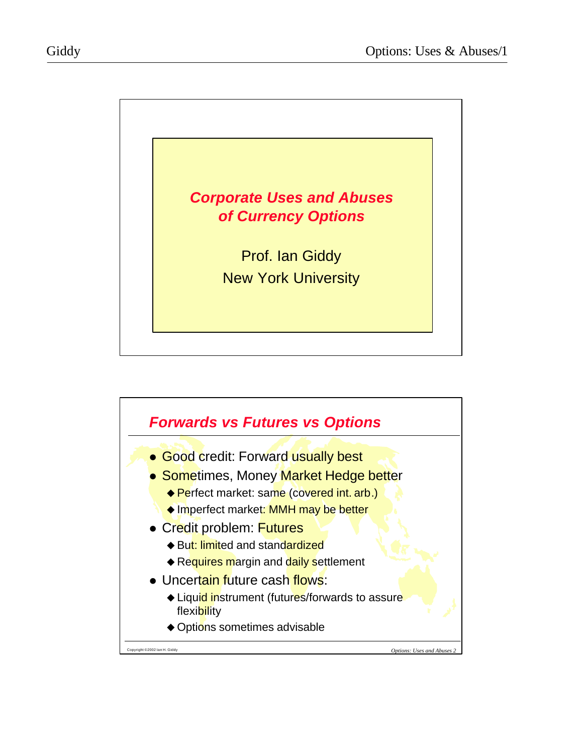

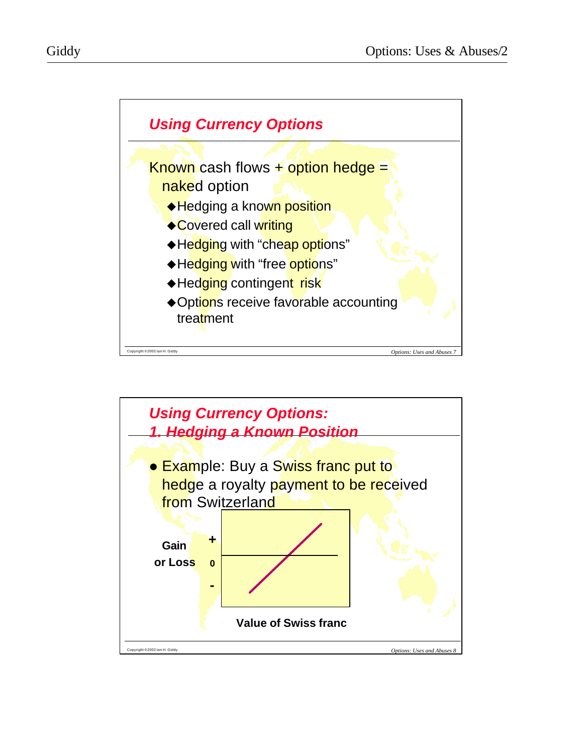

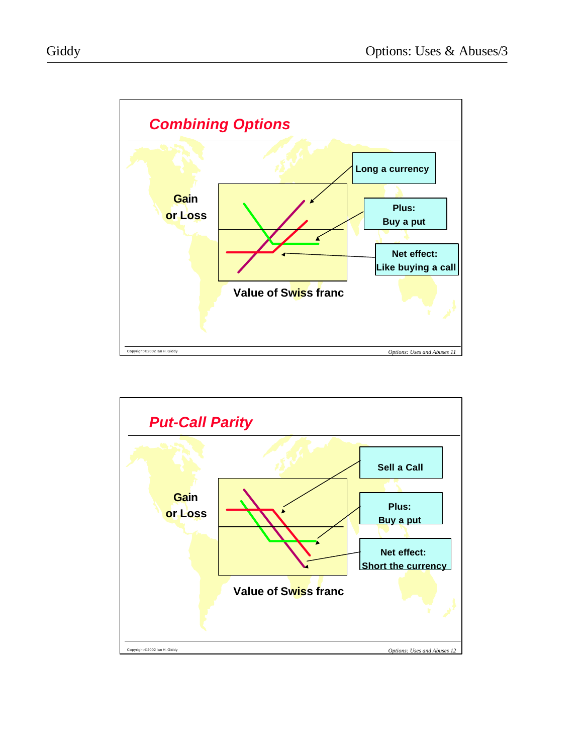



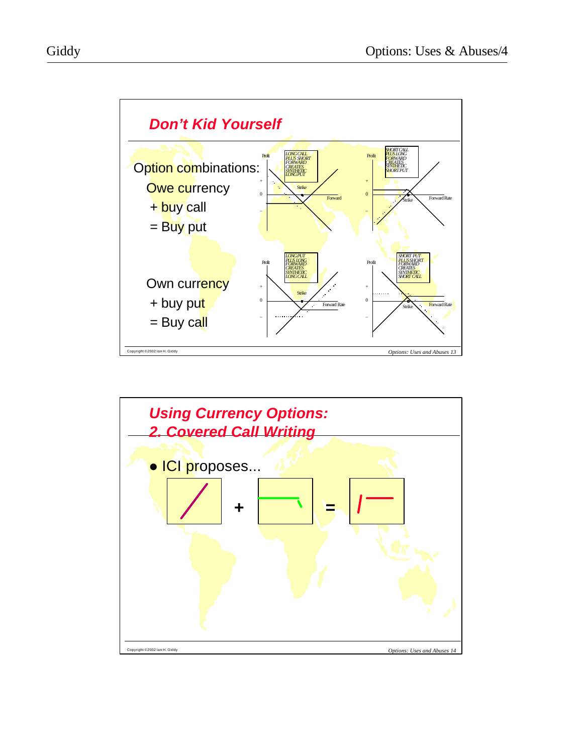



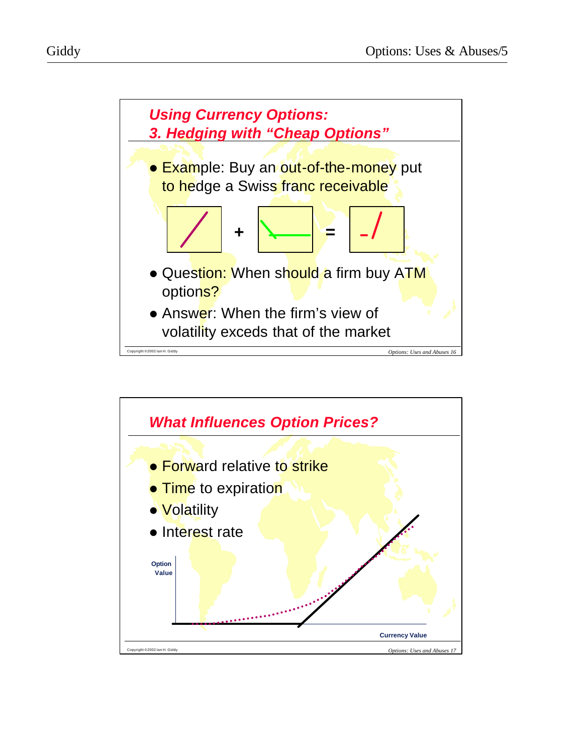

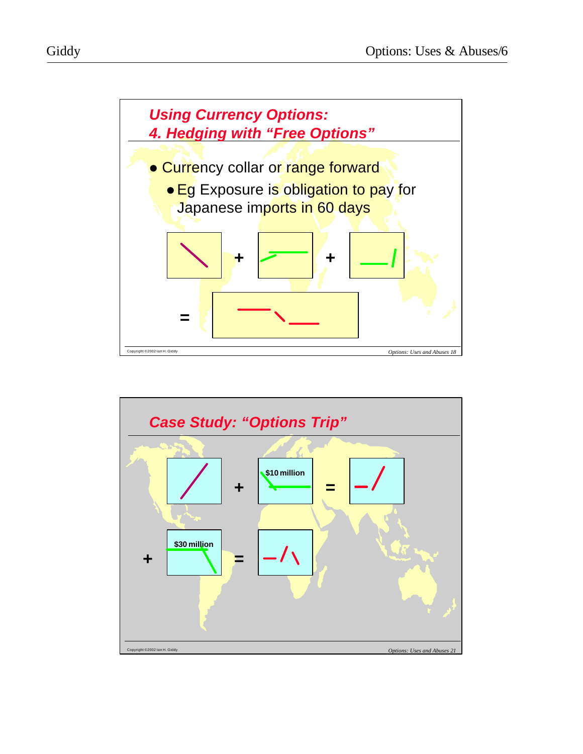

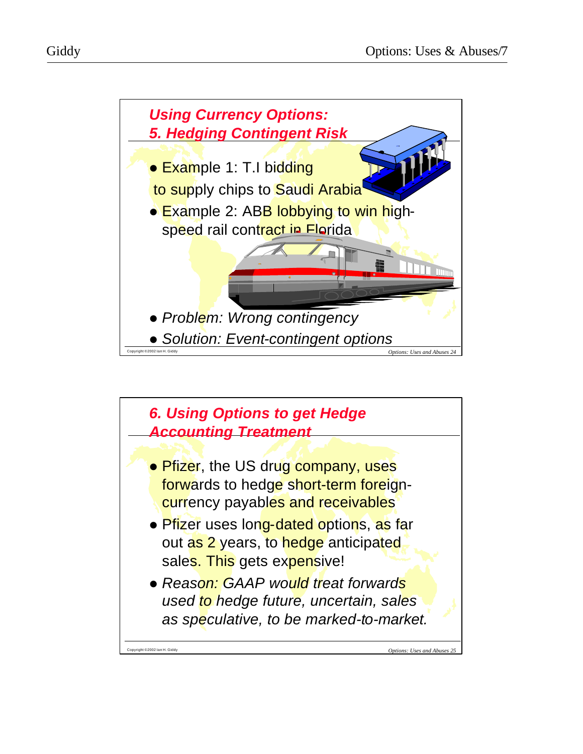

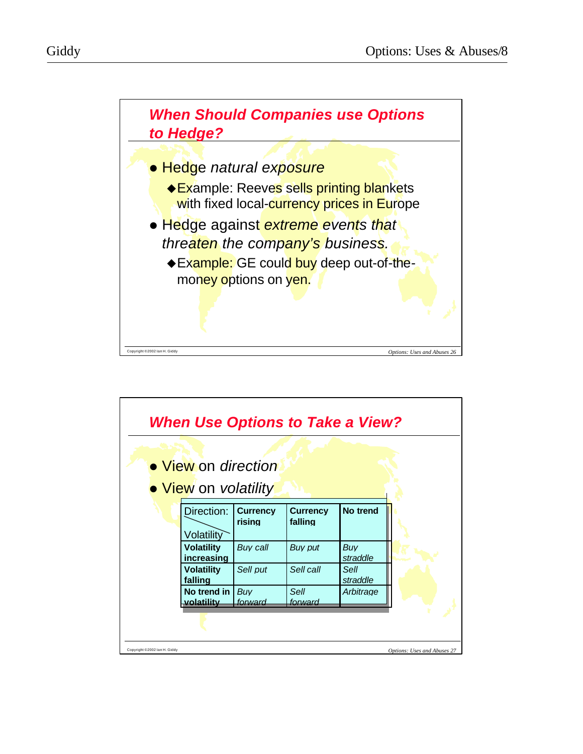

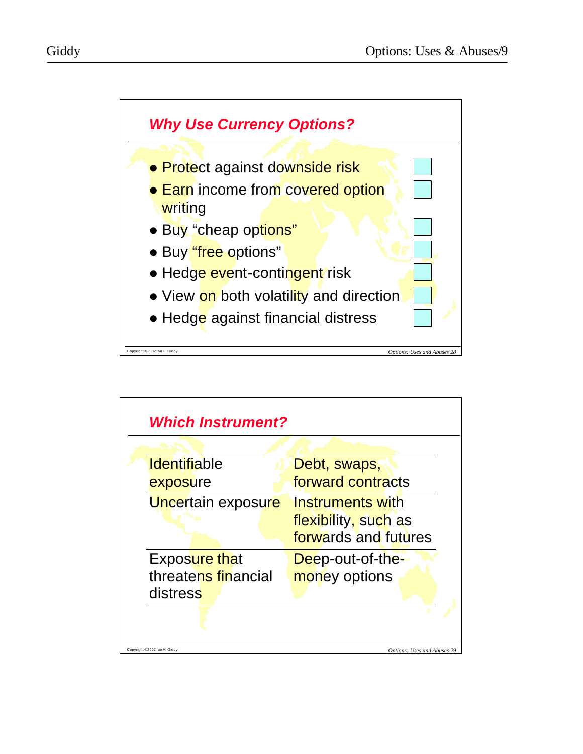

| <b>Identifiable</b>             | Debt, swaps,                                                            |
|---------------------------------|-------------------------------------------------------------------------|
| exposure                        | forward contracts                                                       |
| Uncertain exposure              | <b>Instruments with</b><br>flexibility, such as<br>forwards and futures |
| Exposure that                   | Deep-out-of-the-                                                        |
| threatens financial<br>distress | money options                                                           |